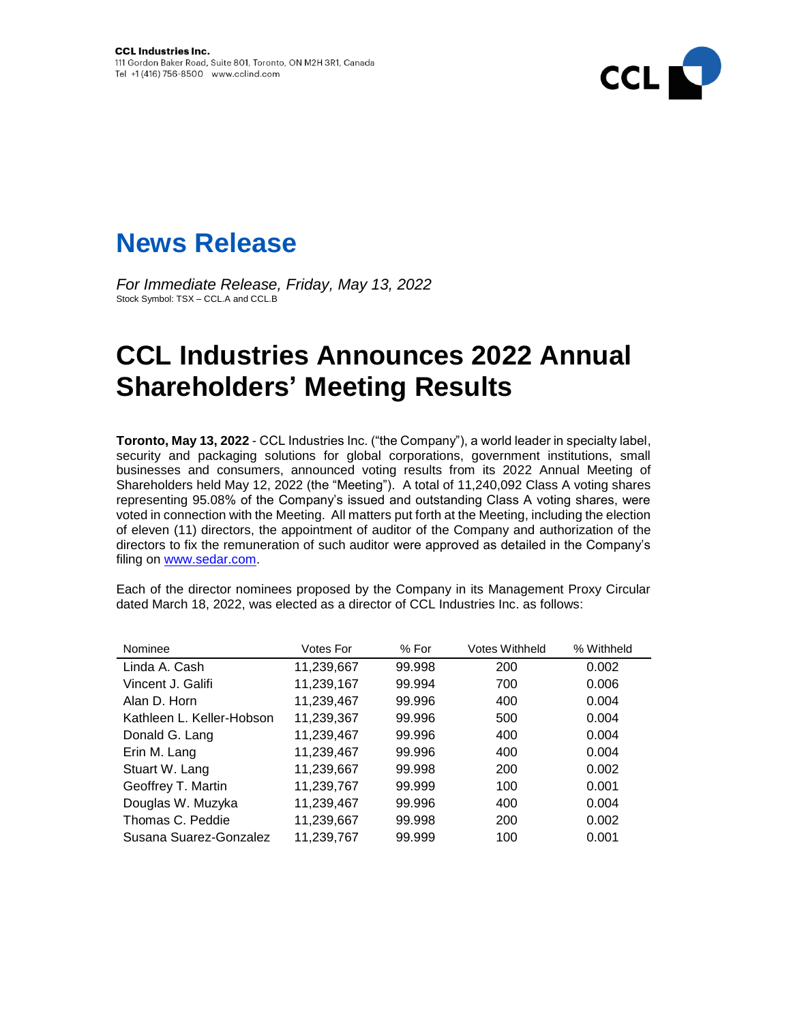



*For Immediate Release, Friday, May 13, 2022* Stock Symbol: TSX – CCL.A and CCL.B

## **CCL Industries Announces 2022 Annual Shareholders' Meeting Results**

**Toronto, May 13, 2022** - CCL Industries Inc. ("the Company"), a world leader in specialty label, security and packaging solutions for global corporations, government institutions, small businesses and consumers, announced voting results from its 2022 Annual Meeting of Shareholders held May 12, 2022 (the "Meeting"). A total of 11,240,092 Class A voting shares representing 95.08% of the Company's issued and outstanding Class A voting shares, were voted in connection with the Meeting. All matters put forth at the Meeting, including the election of eleven (11) directors, the appointment of auditor of the Company and authorization of the directors to fix the remuneration of such auditor were approved as detailed in the Company's filing on [www.sedar.com.](http://www.sedar.com/)

Each of the director nominees proposed by the Company in its Management Proxy Circular dated March 18, 2022, was elected as a director of CCL Industries Inc. as follows:

| Nominee                   | <b>Votes For</b> | % For  | <b>Votes Withheld</b> | % Withheld |
|---------------------------|------------------|--------|-----------------------|------------|
| Linda A. Cash             | 11,239,667       | 99.998 | 200                   | 0.002      |
| Vincent J. Galifi         | 11,239,167       | 99.994 | 700                   | 0.006      |
| Alan D. Horn              | 11,239,467       | 99.996 | 400                   | 0.004      |
| Kathleen L. Keller-Hobson | 11,239,367       | 99.996 | 500                   | 0.004      |
| Donald G. Lang            | 11,239,467       | 99.996 | 400                   | 0.004      |
| Erin M. Lang              | 11,239,467       | 99.996 | 400                   | 0.004      |
| Stuart W. Lang            | 11,239,667       | 99.998 | 200                   | 0.002      |
| Geoffrey T. Martin        | 11,239,767       | 99.999 | 100                   | 0.001      |
| Douglas W. Muzyka         | 11,239,467       | 99.996 | 400                   | 0.004      |
| Thomas C. Peddie          | 11,239,667       | 99.998 | 200                   | 0.002      |
| Susana Suarez-Gonzalez    | 11,239,767       | 99.999 | 100                   | 0.001      |